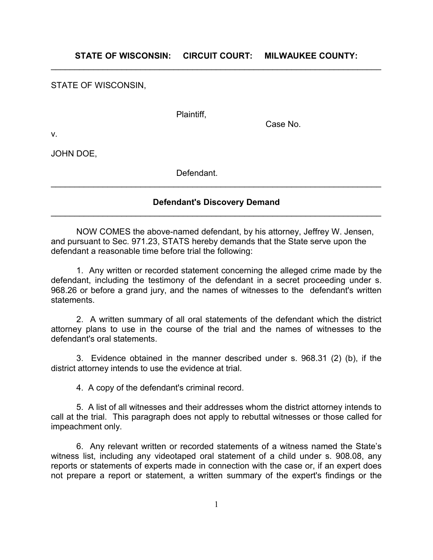**STATE OF WISCONSIN: CIRCUIT COURT: MILWAUKEE COUNTY:**  $\mathcal{L}_\text{max} = \mathcal{L}_\text{max} = \mathcal{L}_\text{max} = \mathcal{L}_\text{max} = \mathcal{L}_\text{max} = \mathcal{L}_\text{max} = \mathcal{L}_\text{max} = \mathcal{L}_\text{max} = \mathcal{L}_\text{max} = \mathcal{L}_\text{max} = \mathcal{L}_\text{max} = \mathcal{L}_\text{max} = \mathcal{L}_\text{max} = \mathcal{L}_\text{max} = \mathcal{L}_\text{max} = \mathcal{L}_\text{max} = \mathcal{L}_\text{max} = \mathcal{L}_\text{max} = \mathcal{$ 

STATE OF WISCONSIN,

Plaintiff,

Case No.

v.

JOHN DOE,

Defendant.

## **Defendant's Discovery Demand**  $\mathcal{L}_\text{max} = \mathcal{L}_\text{max} = \mathcal{L}_\text{max} = \mathcal{L}_\text{max} = \mathcal{L}_\text{max} = \mathcal{L}_\text{max} = \mathcal{L}_\text{max} = \mathcal{L}_\text{max} = \mathcal{L}_\text{max} = \mathcal{L}_\text{max} = \mathcal{L}_\text{max} = \mathcal{L}_\text{max} = \mathcal{L}_\text{max} = \mathcal{L}_\text{max} = \mathcal{L}_\text{max} = \mathcal{L}_\text{max} = \mathcal{L}_\text{max} = \mathcal{L}_\text{max} = \mathcal{$

 $\mathcal{L}_\text{max} = \mathcal{L}_\text{max} = \mathcal{L}_\text{max} = \mathcal{L}_\text{max} = \mathcal{L}_\text{max} = \mathcal{L}_\text{max} = \mathcal{L}_\text{max} = \mathcal{L}_\text{max} = \mathcal{L}_\text{max} = \mathcal{L}_\text{max} = \mathcal{L}_\text{max} = \mathcal{L}_\text{max} = \mathcal{L}_\text{max} = \mathcal{L}_\text{max} = \mathcal{L}_\text{max} = \mathcal{L}_\text{max} = \mathcal{L}_\text{max} = \mathcal{L}_\text{max} = \mathcal{$ 

NOW COMES the above-named defendant, by his attorney, Jeffrey W. Jensen, and pursuant to Sec. 971.23, STATS hereby demands that the State serve upon the defendant a reasonable time before trial the following:

1. Any written or recorded statement concerning the alleged crime made by the defendant, including the testimony of the defendant in a secret proceeding under s. 968.26 or before a grand jury, and the names of witnesses to the defendant's written statements.

2. A written summary of all oral statements of the defendant which the district attorney plans to use in the course of the trial and the names of witnesses to the defendant's oral statements.

3. Evidence obtained in the manner described under s. 968.31 (2) (b), if the district attorney intends to use the evidence at trial.

4. A copy of the defendant's criminal record.

5. A list of all witnesses and their addresses whom the district attorney intends to call at the trial. This paragraph does not apply to rebuttal witnesses or those called for impeachment only.

6. Any relevant written or recorded statements of a witness named the State's witness list, including any videotaped oral statement of a child under s. 908.08, any reports or statements of experts made in connection with the case or, if an expert does not prepare a report or statement, a written summary of the expert's findings or the